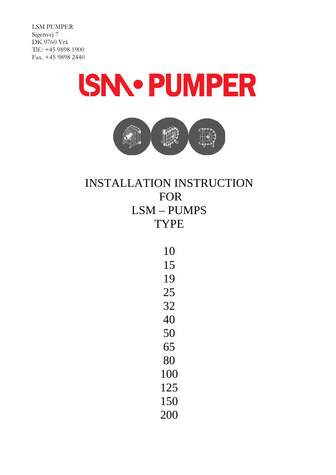



# INSTALLATION INSTRUCTION FOR LSM – PUMPS TYPE

| 10  |
|-----|
| 15  |
| 19  |
| 25  |
| 32  |
| 40  |
| 50  |
| 65  |
| 80  |
| 100 |
| 125 |
| 150 |
| 200 |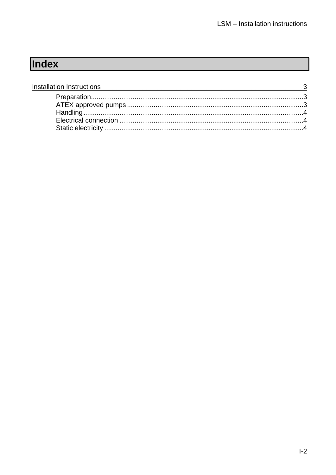# Index

| Installation Instructions<br>$\frac{3}{2}$ |  |
|--------------------------------------------|--|
|                                            |  |
|                                            |  |
|                                            |  |
|                                            |  |
|                                            |  |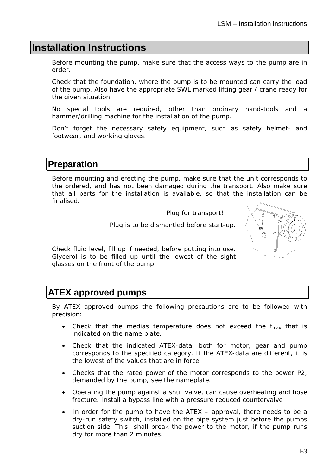## **Installation Instructions**

Before mounting the pump, make sure that the access ways to the pump are in order.

Check that the foundation, where the pump is to be mounted can carry the load of the pump. Also have the appropriate SWL marked lifting gear / crane ready for the given situation.

No special tools are required, other than ordinary hand-tools and a hammer/drilling machine for the installation of the pump.

Don't forget the necessary safety equipment, such as safety helmet- and footwear, and working gloves.

### **Preparation**

Before mounting and erecting the pump, make sure that the unit corresponds to the ordered, and has not been damaged during the transport. Also make sure that all parts for the installation is available, so that the installation can be finalised.

Plug for transport!

Plug is to be dismantled before start-up.



Check fluid level, fill up if needed, before putting into use. Glycerol is to be filled up until the lowest of the sight glasses on the front of the pump.

## **ATEX approved pumps**

By ATEX approved pumps the following precautions are to be followed with precision:

- Check that the medias temperature does not exceed the  $t_{\text{max}}$  that is indicated on the name plate.
- Check that the indicated ATEX-data, both for motor, gear and pump corresponds to the specified category. If the ATEX-data are different, it is the lowest of the values that are in force.
- Checks that the rated power of the motor corresponds to the power P2, demanded by the pump, see the nameplate.
- Operating the pump against a shut valve, can cause overheating and hose fracture. Install a bypass line with a pressure reduced countervalve
- In order for the pump to have the ATEX approval, there needs to be a dry-run safety switch, installed on the pipe system just before the pumps suction side. This shall break the power to the motor, if the pump runs dry for more than 2 minutes.